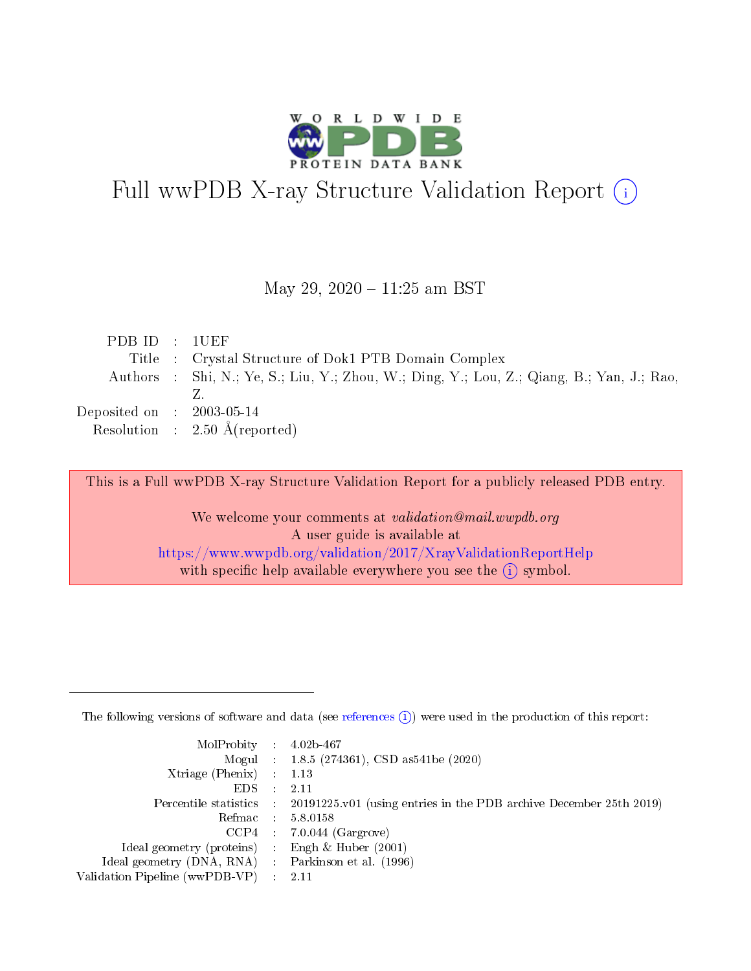

# Full wwPDB X-ray Structure Validation Report (i)

#### May 29, 2020 - 11:25 am BST

| PDB ID : 1UEF               |                                                                                           |
|-----------------------------|-------------------------------------------------------------------------------------------|
|                             | Title : Crystal Structure of Dok1 PTB Domain Complex                                      |
|                             | Authors : Shi, N.; Ye, S.; Liu, Y.; Zhou, W.; Ding, Y.; Lou, Z.; Qiang, B.; Yan, J.; Rao, |
|                             |                                                                                           |
| Deposited on : $2003-05-14$ |                                                                                           |
|                             | Resolution : $2.50 \text{ Å}$ (reported)                                                  |

This is a Full wwPDB X-ray Structure Validation Report for a publicly released PDB entry.

We welcome your comments at validation@mail.wwpdb.org A user guide is available at <https://www.wwpdb.org/validation/2017/XrayValidationReportHelp> with specific help available everywhere you see the  $(i)$  symbol.

The following versions of software and data (see [references](https://www.wwpdb.org/validation/2017/XrayValidationReportHelp#references)  $(1)$ ) were used in the production of this report:

| $MolProbability$ : 4.02b-467                      |                              |                                                                                            |
|---------------------------------------------------|------------------------------|--------------------------------------------------------------------------------------------|
|                                                   |                              | Mogul : 1.8.5 (274361), CSD as 541be (2020)                                                |
| Xtriage (Phenix) $: 1.13$                         |                              |                                                                                            |
| EDS –                                             | $\sim$                       | -2.11                                                                                      |
|                                                   |                              | Percentile statistics : 20191225.v01 (using entries in the PDB archive December 25th 2019) |
| Refmac : 5.8.0158                                 |                              |                                                                                            |
| CCP4                                              |                              | $7.0.044$ (Gargrove)                                                                       |
| Ideal geometry (proteins)                         | $\mathcal{L}_{\mathrm{eff}}$ | Engh & Huber $(2001)$                                                                      |
| Ideal geometry (DNA, RNA) Parkinson et al. (1996) |                              |                                                                                            |
| Validation Pipeline (wwPDB-VP) : 2.11             |                              |                                                                                            |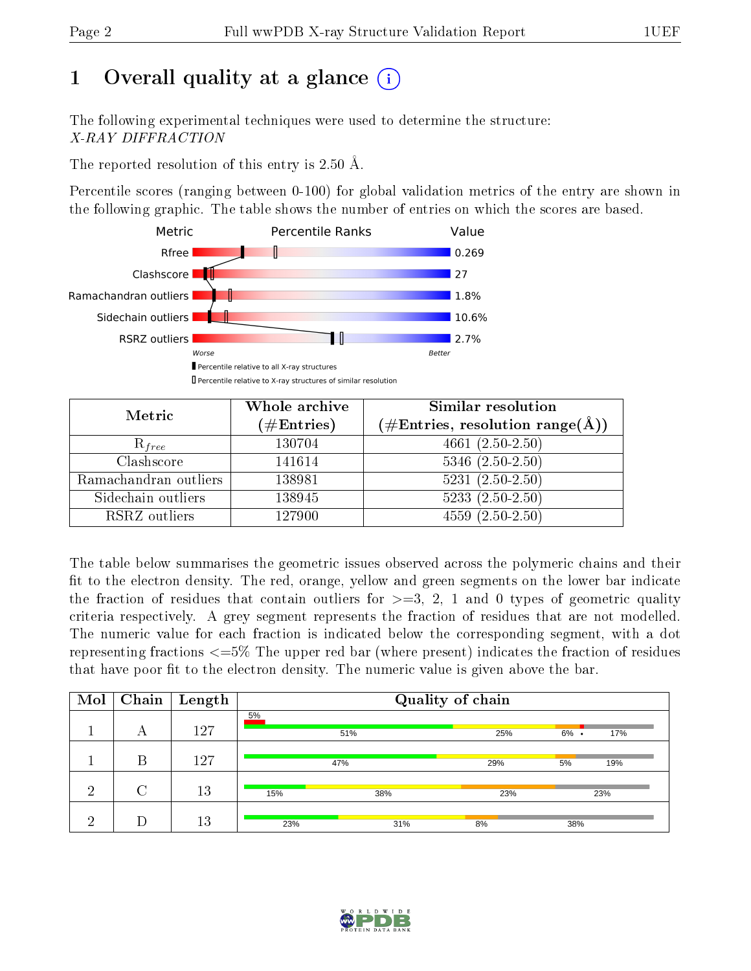# 1 [O](https://www.wwpdb.org/validation/2017/XrayValidationReportHelp#overall_quality)verall quality at a glance  $(i)$

The following experimental techniques were used to determine the structure: X-RAY DIFFRACTION

The reported resolution of this entry is 2.50 Å.

Percentile scores (ranging between 0-100) for global validation metrics of the entry are shown in the following graphic. The table shows the number of entries on which the scores are based.



| Metric                | Whole archive        | <b>Similar resolution</b>                                    |
|-----------------------|----------------------|--------------------------------------------------------------|
|                       | $(\#\text{Entries})$ | $(\#\text{Entries}, \text{resolution range}(\textup{\AA})\)$ |
| $R_{free}$            | 130704               | $4661(2.50-2.50)$                                            |
| Clashscore            | 141614               | $5346$ $(2.50-2.50)$                                         |
| Ramachandran outliers | 138981               | $5231 (2.50 - 2.50)$                                         |
| Sidechain outliers    | 138945               | $5233(2.50-2.50)$                                            |
| RSRZ outliers         | 127900               | $4559(2.50-2.50)$                                            |

The table below summarises the geometric issues observed across the polymeric chains and their fit to the electron density. The red, orange, yellow and green segments on the lower bar indicate the fraction of residues that contain outliers for  $>=$  3, 2, 1 and 0 types of geometric quality criteria respectively. A grey segment represents the fraction of residues that are not modelled. The numeric value for each fraction is indicated below the corresponding segment, with a dot representing fractions  $\epsilon=5\%$  The upper red bar (where present) indicates the fraction of residues that have poor fit to the electron density. The numeric value is given above the bar.

| Mol | Chain  | $\sqrt{\frac{1}{2}}$ Length | Quality of chain |     |     |                |  |  |
|-----|--------|-----------------------------|------------------|-----|-----|----------------|--|--|
|     | А      | 127                         | 5%               | 51% | 25% | $6\%$ .<br>17% |  |  |
|     | В      | 127                         |                  | 47% | 29% | 19%<br>5%      |  |  |
| ച   | $\cap$ | 13                          | 15%              | 38% | 23% | 23%            |  |  |
| ച   |        | 13                          | 23%              | 31% | 8%  | 38%            |  |  |

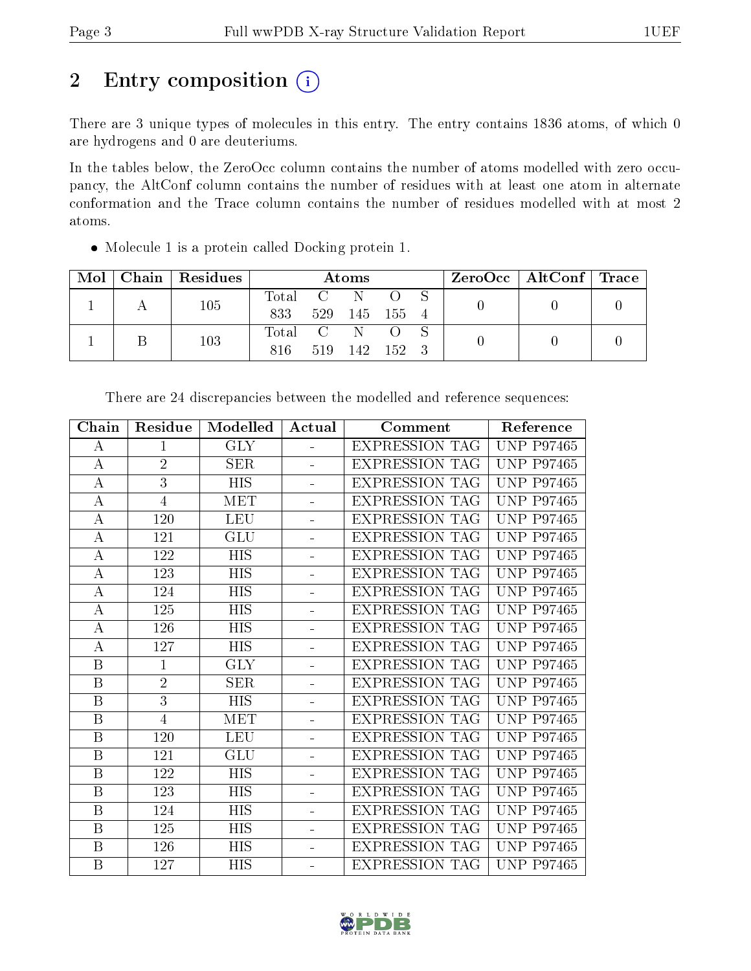# 2 Entry composition (i)

There are 3 unique types of molecules in this entry. The entry contains 1836 atoms, of which 0 are hydrogens and 0 are deuteriums.

In the tables below, the ZeroOcc column contains the number of atoms modelled with zero occupancy, the AltConf column contains the number of residues with at least one atom in alternate conformation and the Trace column contains the number of residues modelled with at most 2 atoms.

Molecule 1 is a protein called Docking protein 1.

| Mol |  | $Chain   Residues$ | Atoms |                                                      |       | $\text{ZeroOcc} \mid \text{AltConf} \mid \text{Trace} \mid$ |  |  |  |
|-----|--|--------------------|-------|------------------------------------------------------|-------|-------------------------------------------------------------|--|--|--|
|     |  | 105                | Total |                                                      |       |                                                             |  |  |  |
|     |  | 833                |       | 529 145                                              | 155 4 |                                                             |  |  |  |
|     |  | 103                | Total | $\overline{C}$ and $\overline{C}$ and $\overline{C}$ |       |                                                             |  |  |  |
|     |  | 816                | 519   | 142                                                  | -152  |                                                             |  |  |  |

| Chain            | Residue        | Modelled                | Actual                   | Comment               | Reference         |
|------------------|----------------|-------------------------|--------------------------|-----------------------|-------------------|
| А                | $\mathbf{1}$   | $\overline{\text{GLY}}$ | L.                       | <b>EXPRESSION TAG</b> | <b>UNP P97465</b> |
| $\bf{A}$         | $\overline{2}$ | <b>SER</b>              | $\overline{\phantom{a}}$ | <b>EXPRESSION TAG</b> | <b>UNP P97465</b> |
| $\bf{A}$         | $\overline{3}$ | $\overline{HIS}$        | $\blacksquare$           | <b>EXPRESSION TAG</b> | <b>UNP P97465</b> |
| $\boldsymbol{A}$ | $\overline{4}$ | <b>MET</b>              | $\blacksquare$           | <b>EXPRESSION TAG</b> | <b>UNP P97465</b> |
| А                | 120            | <b>LEU</b>              | $\equiv$                 | <b>EXPRESSION TAG</b> | <b>UNP P97465</b> |
| А                | 121            | GLU                     | $\equiv$                 | <b>EXPRESSION TAG</b> | <b>UNP P97465</b> |
| А                | 122            | <b>HIS</b>              | ÷.                       | <b>EXPRESSION TAG</b> | <b>UNP P97465</b> |
| А                | 123            | <b>HIS</b>              | $\overline{\phantom{a}}$ | <b>EXPRESSION TAG</b> | <b>UNP P97465</b> |
| $\boldsymbol{A}$ | 124            | <b>HIS</b>              | $\overline{a}$           | <b>EXPRESSION TAG</b> | <b>UNP P97465</b> |
| $\boldsymbol{A}$ | 125            | <b>HIS</b>              |                          | <b>EXPRESSION TAG</b> | <b>UNP P97465</b> |
| $\boldsymbol{A}$ | 126            | HIS                     |                          | <b>EXPRESSION TAG</b> | <b>UNP P97465</b> |
| А                | 127            | HIS                     | ÷.                       | <b>EXPRESSION TAG</b> | <b>UNP P97465</b> |
| B                | $\mathbf{1}$   | <b>GLY</b>              | $\overline{\phantom{a}}$ | <b>EXPRESSION TAG</b> | <b>UNP P97465</b> |
| $\boldsymbol{B}$ | $\overline{2}$ | SER                     | $\overline{\phantom{a}}$ | <b>EXPRESSION TAG</b> | <b>UNP P97465</b> |
| $\, {\bf B}$     | $\overline{3}$ | <b>HIS</b>              | ÷,                       | <b>EXPRESSION TAG</b> | <b>UNP P97465</b> |
| $\, {\bf B}$     | $\overline{4}$ | <b>MET</b>              | L,                       | <b>EXPRESSION TAG</b> | <b>UNP P97465</b> |
| B                | 120            | <b>LEU</b>              | $\overline{a}$           | <b>EXPRESSION TAG</b> | <b>UNP P97465</b> |
| B                | 121            | GLU                     | $\frac{1}{2}$            | <b>EXPRESSION TAG</b> | <b>UNP P97465</b> |
| B                | 122            | <b>HIS</b>              | $\blacksquare$           | <b>EXPRESSION TAG</b> | <b>UNP P97465</b> |
| $\boldsymbol{B}$ | 123            | <b>HIS</b>              | $\blacksquare$           | <b>EXPRESSION TAG</b> | <b>UNP P97465</b> |
| $\, {\bf B}$     | 124            | <b>HIS</b>              | $\blacksquare$           | <b>EXPRESSION TAG</b> | <b>UNP P97465</b> |
| B                | 125            | HIS                     | $\overline{\phantom{0}}$ | <b>EXPRESSION TAG</b> | <b>UNP P97465</b> |
| B                | 126            | HIS                     | ÷                        | <b>EXPRESSION TAG</b> | <b>UNP P97465</b> |
| B                | 127            | HIS                     | $\equiv$                 | <b>EXPRESSION TAG</b> | <b>UNP P97465</b> |

There are 24 discrepancies between the modelled and reference sequences:

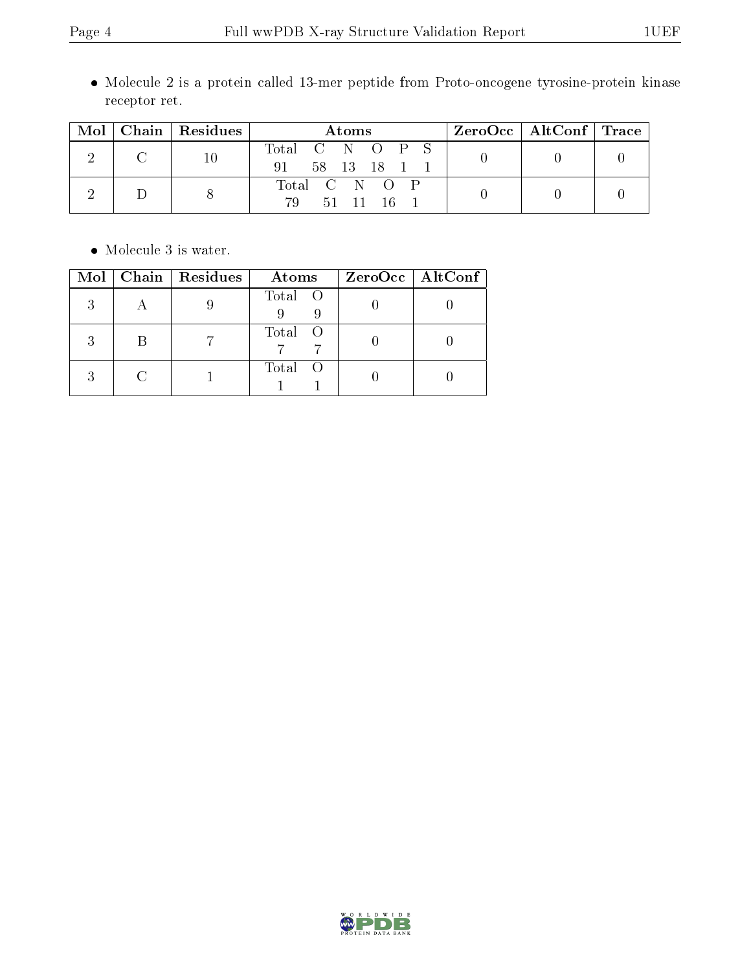Molecule 2 is a protein called 13-mer peptide from Proto-oncogene tyrosine-protein kinase receptor ret.

| Mol | Chain Residues | Atoms                                      | $ZeroOcc \mid AltConf \mid Trace$ |  |
|-----|----------------|--------------------------------------------|-----------------------------------|--|
|     | 10             | Total C N O P S<br>58 13 18<br>91          |                                   |  |
|     |                | Total C N O P<br>79<br>.51<br>- 11<br>- 16 |                                   |  |

 $\bullet\,$  Molecule 3 is water.

|  | $Mol$   Chain   Residues | Atoms   | ZeroOcc   AltConf |
|--|--------------------------|---------|-------------------|
|  |                          | Total O |                   |
|  |                          | Total O |                   |
|  |                          | Total O |                   |

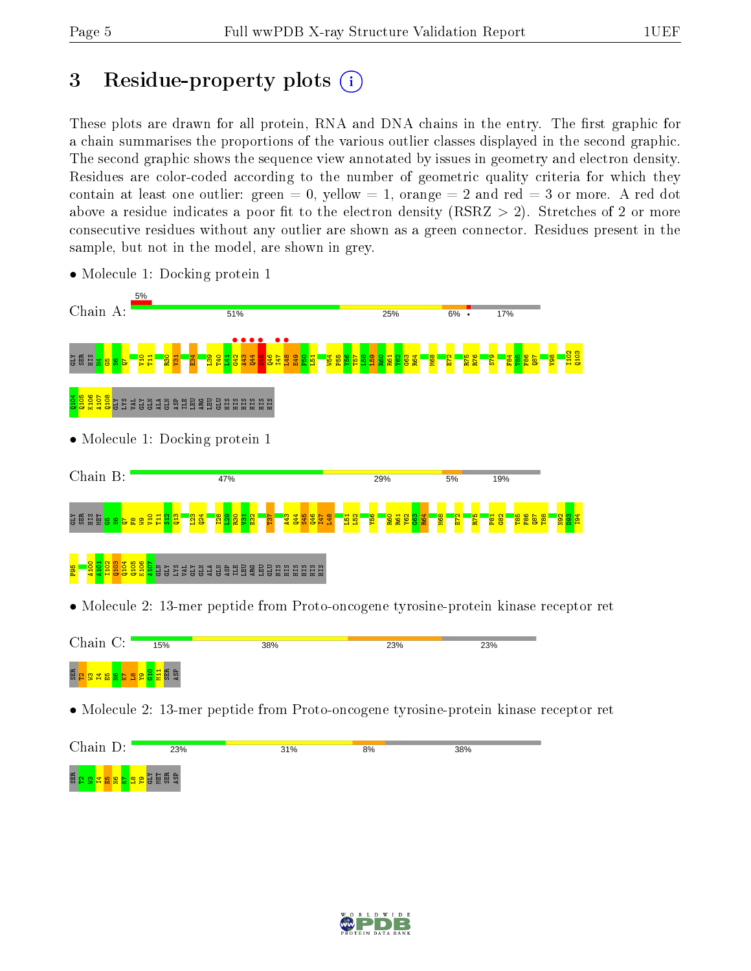# 3 Residue-property plots  $(i)$

These plots are drawn for all protein, RNA and DNA chains in the entry. The first graphic for a chain summarises the proportions of the various outlier classes displayed in the second graphic. The second graphic shows the sequence view annotated by issues in geometry and electron density. Residues are color-coded according to the number of geometric quality criteria for which they contain at least one outlier: green  $= 0$ , yellow  $= 1$ , orange  $= 2$  and red  $= 3$  or more. A red dot above a residue indicates a poor fit to the electron density (RSRZ  $> 2$ ). Stretches of 2 or more consecutive residues without any outlier are shown as a green connector. Residues present in the sample, but not in the model, are shown in grey.



• Molecule 1: Docking protein 1

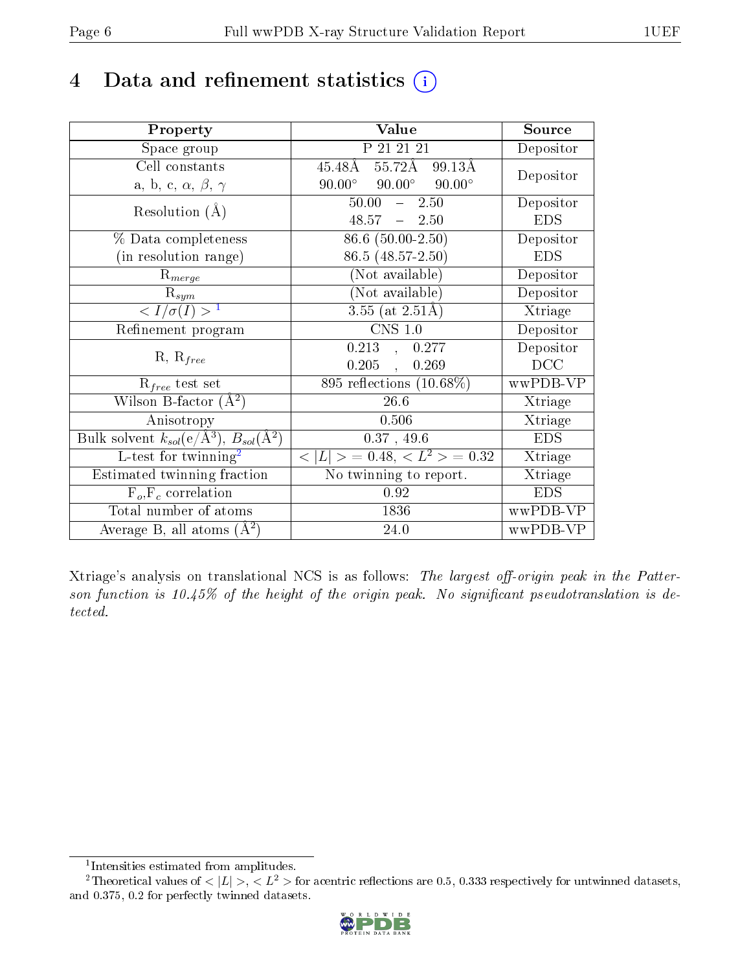# 4 Data and refinement statistics  $(i)$

| Property                                                                 | Value                                             | Source     |
|--------------------------------------------------------------------------|---------------------------------------------------|------------|
| Space group                                                              | P 21 21 21                                        | Depositor  |
| Cell constants                                                           | $55.72\text{\AA}$<br>$45.48\text{\AA}$<br>99.13Å  |            |
| a, b, c, $\alpha$ , $\beta$ , $\gamma$                                   | $90.00^{\circ}$<br>$90.00^\circ$<br>$90.00^\circ$ | Depositor  |
| Resolution $(A)$                                                         | $50.00 - 2.50$                                    | Depositor  |
|                                                                          | $48.57 - 2.50$                                    | <b>EDS</b> |
| $%$ Data completeness                                                    | 86.6 (50.00-2.50)                                 | Depositor  |
| (in resolution range)                                                    | 86.5 (48.57-2.50)                                 | <b>EDS</b> |
| $R_{merge}$                                                              | (Not available)                                   | Depositor  |
| $\mathrm{R}_{sym}$                                                       | (Not available)                                   | Depositor  |
| $\langle I/\sigma(I) \rangle^{-1}$                                       | $3.55$ (at 2.51Å)                                 | Xtriage    |
| Refinement program                                                       | $CNS$ 1.0                                         | Depositor  |
|                                                                          | $0.213 \quad , \quad 0.277$                       | Depositor  |
| $R, R_{free}$                                                            | $0.205$ ,<br>0.269                                | DCC        |
| $\mathcal{R}_{free}$ test set                                            | 895 reflections $(10.68\%)$                       | wwPDB-VP   |
| Wilson B-factor $(A^2)$                                                  | 26.6                                              | Xtriage    |
| Anisotropy                                                               | 0.506                                             | Xtriage    |
| Bulk solvent $k_{sol}(\mathrm{e}/\mathrm{A}^3),$ $B_{sol}(\mathrm{A}^2)$ | 0.37, 49.6                                        | <b>EDS</b> |
| L-test for twinning <sup>2</sup>                                         | $< L >$ = 0.48, $< L2$ = 0.32                     | Xtriage    |
| Estimated twinning fraction                                              | $\overline{\text{No}}$ twinning to report.        | Xtriage    |
| $F_o, F_c$ correlation                                                   | 0.92                                              | <b>EDS</b> |
| Total number of atoms                                                    | 1836                                              | wwPDB-VP   |
| Average B, all atoms $(A^2)$                                             | 24.0                                              | wwPDB-VP   |

Xtriage's analysis on translational NCS is as follows: The largest off-origin peak in the Patterson function is  $10.45\%$  of the height of the origin peak. No significant pseudotranslation is detected.

<sup>&</sup>lt;sup>2</sup>Theoretical values of  $\langle |L| \rangle$ ,  $\langle L^2 \rangle$  for acentric reflections are 0.5, 0.333 respectively for untwinned datasets, and 0.375, 0.2 for perfectly twinned datasets.



<span id="page-5-1"></span><span id="page-5-0"></span><sup>1</sup> Intensities estimated from amplitudes.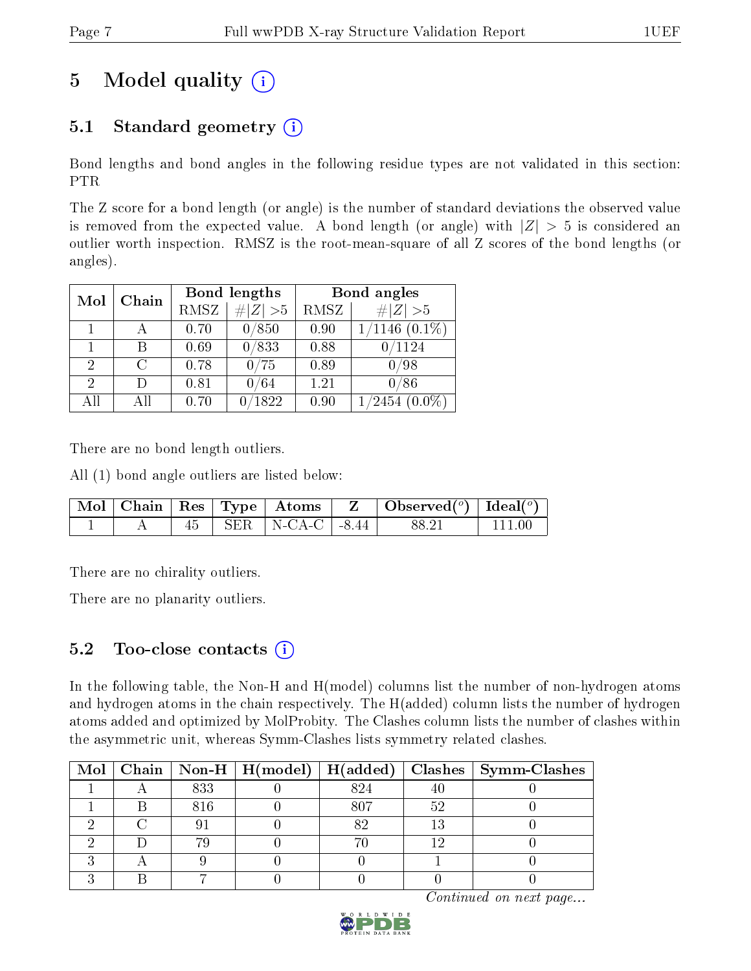# 5 Model quality  $(i)$

# 5.1 Standard geometry  $(i)$

Bond lengths and bond angles in the following residue types are not validated in this section: PTR

The Z score for a bond length (or angle) is the number of standard deviations the observed value is removed from the expected value. A bond length (or angle) with  $|Z| > 5$  is considered an outlier worth inspection. RMSZ is the root-mean-square of all Z scores of the bond lengths (or angles).

| Mol            | Chain  |      | Bond lengths  | Bond angles |                    |  |
|----------------|--------|------|---------------|-------------|--------------------|--|
|                |        | RMSZ | # $ Z  > 5$   | RMSZ        | # $ Z >5$          |  |
|                |        | 0.70 | 0/850         | 0.90        | $1/1146$ $(0.1\%)$ |  |
|                | В      | 0.69 | 0/833         | 0.88        | 0/1124             |  |
| $\overline{2}$ | C      | 0.78 | 0/75          | 0.89        | 0/98               |  |
| 2              | $\Box$ | 0.81 | 0/64          | 1.21        | 0/86               |  |
| All            | All    | 0.70 | $\sqrt{1822}$ | 0.90        | $(2454 (0.0\%)$    |  |

There are no bond length outliers.

All (1) bond angle outliers are listed below:

|  |  |                             | $\mid$ Mol $\mid$ Chain $\mid$ Res $\mid$ Type $\mid$ Atoms $\mid$ Z $\mid$ Observed( <sup>o</sup> ) $\mid$ Ideal( <sup>o</sup> ) $\mid$ |           |
|--|--|-----------------------------|------------------------------------------------------------------------------------------------------------------------------------------|-----------|
|  |  | $45$   SER   N-CA-C   -8.44 | 88.21                                                                                                                                    | l 111 00. |

There are no chirality outliers.

There are no planarity outliers.

### 5.2 Too-close contacts  $(i)$

In the following table, the Non-H and H(model) columns list the number of non-hydrogen atoms and hydrogen atoms in the chain respectively. The H(added) column lists the number of hydrogen atoms added and optimized by MolProbity. The Clashes column lists the number of clashes within the asymmetric unit, whereas Symm-Clashes lists symmetry related clashes.

|  |     |     |     | Mol   Chain   Non-H   H(model)   H(added)   Clashes   Symm-Clashes |
|--|-----|-----|-----|--------------------------------------------------------------------|
|  | 833 | 824 |     |                                                                    |
|  | 816 | 807 | 52  |                                                                    |
|  |     | ດ ດ | 13  |                                                                    |
|  |     |     | 1 ຕ |                                                                    |
|  |     |     |     |                                                                    |
|  |     |     |     |                                                                    |

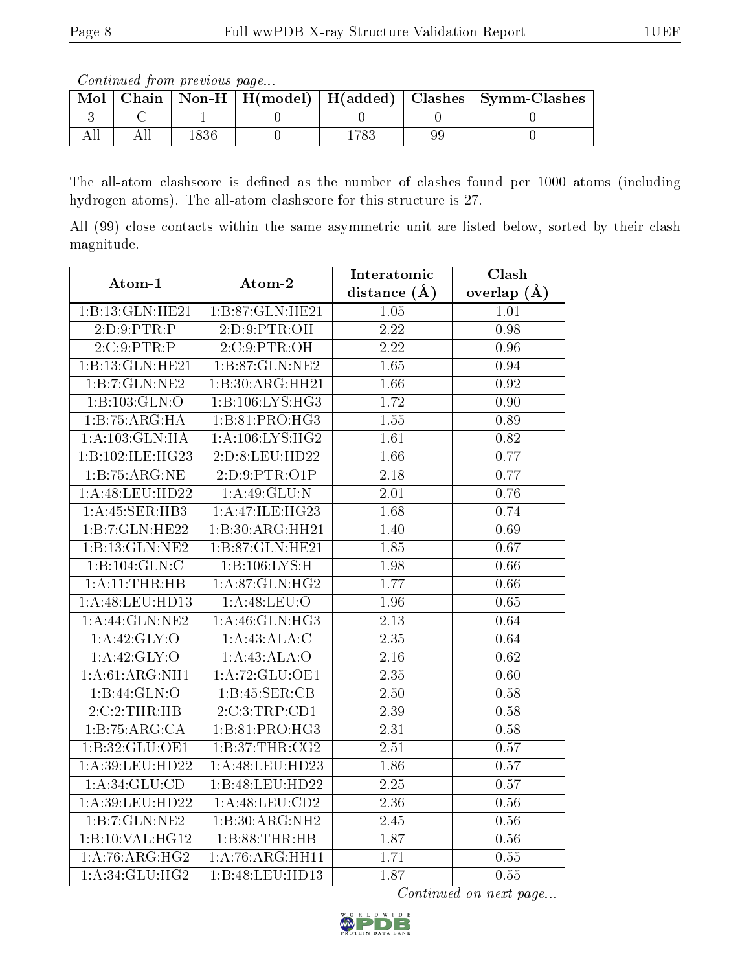Continued from previous page...

| Mol |  |  | Chain   Non-H   H(model)   H(added)   Clashes   Symm-Clashes |
|-----|--|--|--------------------------------------------------------------|
|     |  |  |                                                              |
|     |  |  |                                                              |

The all-atom clashscore is defined as the number of clashes found per 1000 atoms (including hydrogen atoms). The all-atom clashscore for this structure is 27.

All (99) close contacts within the same asymmetric unit are listed below, sorted by their clash magnitude.

| Atom-1             | Atom-2             | Interatomic       | Clash         |
|--------------------|--------------------|-------------------|---------------|
|                    |                    | distance $(A)$    | overlap $(A)$ |
| 1:B:13:GLN:HE21    | 1:B:87:GLN:HE21    | 1.05              | 1.01          |
| 2:D:9:PTR:P        | 2:D:9:PTR:OH       | 2.22              | 0.98          |
| 2:C:9:PTR:P        | 2:C:9:PTR:OH       | $\overline{2.22}$ | 0.96          |
| 1:B:13:GLN:HE21    | 1:B:87:GLN:NE2     | 1.65              | 0.94          |
| 1:B:7:GLN:NE2      | 1:B:30:ARG:HH21    | 1.66              | 0.92          |
| 1:B:103:GLN:O      | 1:B:106:LYS:HG3    | 1.72              | 0.90          |
| 1:B:75:ARG:HA      | 1:B:81:PRO:HG3     | 1.55              | 0.89          |
| 1: A: 103: GLN: HA | 1: A:106: LYS: HG2 | 1.61              | 0.82          |
| 1:B:102:ILE:HG23   | 2:D:8:LEU:HD22     | 1.66              | 0.77          |
| 1:B:75:ARG:NE      | 2:D:9:PTR:O1P      | 2.18              | 0.77          |
| 1: A:48:LEU:HD22   | 1: A:49: GLU:N     | 2.01              | 0.76          |
| 1:A:45:SER:HB3     | 1:A:47:ILE:HG23    | 1.68              | 0.74          |
| 1:B:7:GLN:HE22     | 1:B:30:ARG:HH21    | 1.40              | 0.69          |
| 1:B:13:GLN:NE2     | 1:B:87:GLN:HE21    | 1.85              | 0.67          |
| 1:B:104:GLN:C      | 1:B:106:LYS:H      | 1.98              | 0.66          |
| 1:A:11:THR:HB      | 1:A:87:GLN:HG2     | 1.77              | 0.66          |
| 1:A:48:LEU:HD13    | 1: A:48: LEU:O     | 1.96              | 0.65          |
| 1:A:44:GLN:NE2     | 1:A:46:GLN:HG3     | $2.13\,$          | 0.64          |
| 1: A:42: GLY:O     | 1: A: 43: ALA: C   | 2.35              | 0.64          |
| 1: A:42: GLY:O     | 1: A: 43: ALA: O   | 2.16              | 0.62          |
| 1:A:61:ARG:NH1     | 1:A:72:GLU:OE1     | 2.35              | 0.60          |
| 1:B:44:GLN:O       | 1:B:45:SER:CB      | $\overline{2.50}$ | 0.58          |
| 2:C:2:THR:HB       | 2:C:3:TRP:CD1      | 2.39              | 0.58          |
| 1:B:75:ARG:CA      | 1:B:81:PRO:HG3     | 2.31              | 0.58          |
| 1:B:32:GLU:OE1     | 1:B:37:THR:CG2     | 2.51              | 0.57          |
| 1:A:39:LEU:HD22    | 1:A:48:LEU:HD23    | 1.86              | 0.57          |
| 1: A:34: GLU:CD    | 1:B:48:LEU:HD22    | $\overline{2.25}$ | 0.57          |
| 1: A:39:LEU:HD22   | 1: A:48: LEU:CD2   | 2.36              | 0.56          |
| 1:B:7:GLN:NE2      | 1:B:30:ARG:NH2     | $2.\overline{45}$ | $0.56\,$      |
| 1:B:10:VAL:HG12    | 1:B:88:THR:HB      | 1.87              | $0.56\,$      |
| 1: A:76: ARG:HG2   | 1:A:76:ARG:HH11    | 1.71              | 0.55          |
| 1: A:34: GLU:HG2   | 1:B:48:LEU:HD13    | 1.87              | 0.55          |

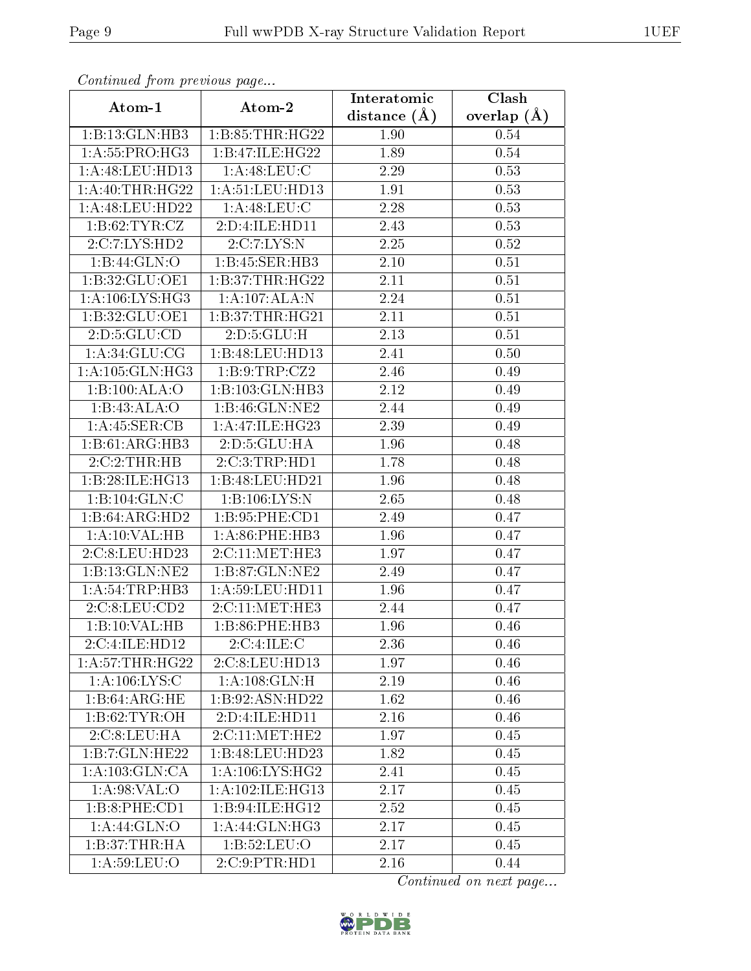| Continued from previous page |                     | Interatomic       | Clash         |
|------------------------------|---------------------|-------------------|---------------|
| Atom-1                       | Atom-2              | distance $(\AA)$  | overlap $(A)$ |
| 1:B:13:GLN:HB3               | 1: B: 85: THR: HG22 | 1.90              | 0.54          |
| 1: A: 55: PRO:HG3            | 1:B:47:ILE:HG22     | 1.89              | 0.54          |
| 1: A:48: LEU: HD13           | 1: A:48: LEU: C     | 2.29              | 0.53          |
| 1: A:40:THR:HG22             | 1: A: 51: LEU: HD13 | 1.91              | 0.53          |
| 1:A:48:LEU:HD22              | 1: A:48:LEU:C       | 2.28              | 0.53          |
| 1: B:62: TYR: CZ             | 2:D:4:ILE:HD11      | 2.43              | 0.53          |
| 2:C:7:LYS:HD2                | 2:C:7:LYS:N         | $\overline{2.25}$ | 0.52          |
| 1:B:44:GLN:O                 | 1:B:45:SER:HB3      | 2.10              | 0.51          |
| 1: B:32: GLU:OE1             | 1:B:37:THR:HG22     | 2.11              | 0.51          |
| 1:A:106:LYS:HG3              | 1:A:107:ALA:N       | 2.24              | 0.51          |
| 1:B:32:GLU:OE1               | 1:B:37:THR:HG21     | 2.11              | 0.51          |
| 2:D:5:GLU:CD                 | 2: D: 5: GLU: H     | 2.13              | 0.51          |
| 1:A:34:GLU:CG                | 1:B:48:LEU:HD13     | 2.41              | 0.50          |
| 1:A:105:GLN:HG3              | 1: B: 9: TRP: CZ2   | 2.46              | 0.49          |
| 1:B:100:ALA:O                | 1:B:103:GLN:HB3     | 2.12              | 0.49          |
| 1:B:43:ALA:O                 | 1:B:46:GLN:NE2      | 2.44              | 0.49          |
| 1:A:45:SER:CB                | 1: A:47: ILE:HG23   | 2.39              | 0.49          |
| 1:B:61:ARG:HB3               | 2:D:5:GLU:HA        | 1.96              | 0.48          |
| 2:C:2:THR:HB                 | 2:C:3:TRP:HD1       | 1.78              | 0.48          |
| 1:B:28:ILE:HG13              | 1:B:48:LEU:HD21     | 1.96              | 0.48          |
| 1:B:104:GLN:C                | 1:B:106:LYS:N       | 2.65              | 0.48          |
| 1:B:64:ARG:HD2               | 1: B:95: PHE:CD1    | 2.49              | 0.47          |
| 1:A:10:VAL:HB                | $1: A:86:$ PHE:HB3  | 1.96              | 0.47          |
| 2:C:8:LEU:HD23               | 2:C:11:MET:HE3      | 1.97              | 0.47          |
| 1:B:13:GLN:NE2               | 1: B:87: GLN:NE2    | 2.49              | 0.47          |
| 1: A:54:TRP:HB3              | 1: A:59: LEU: HD11  | 1.96              | 0.47          |
| 2:C:8:LEU:CD2                | 2:C:11:MET:HE3      | 2.44              | 0.47          |
| 1:B:10:VAL:HB                | 1:B:86:PHE:HB3      | 1.96              | 0.46          |
| 2:C:4:ILE:HD12               | 2:C:4:ILE:C         | 2.36              | 0.46          |
| 1: A:57:THR:HG22             | 2:C:8:LEU:HD13      | 1.97              | 0.46          |
| 1: A: 106: LYS: C            | 1: A:108: GLN:H     | 2.19              | 0.46          |
| 1:B:64:ARG:HE                | 1:B:92:ASN:HD22     | 1.62              | 0.46          |
| 1: B:62: TYR:OH              | 2:D:4:ILE:HD11      | 2.16              | 0.46          |
| $2:C:8:L\overline{EU:HA}$    | 2:C:11:MET:HE2      | 1.97              | 0.45          |
| 1:B:7:GLN:HE22               | 1:B:48:LEU:HD23     | 1.82              | 0.45          |
| 1:A:103:GLN:CA               | 1: A:106: LYS: HG2  | 2.41              | 0.45          |
| 1: A:98: VAL:O               | 1: A:102: ILE: HG13 | 2.17              | 0.45          |
| 1:B:8:PHE:CD1                | 1:B:94:ILE:HG12     | 2.52              | 0.45          |
| 1:A:44:GLN:O                 | 1: A:44: GLN: HG3   | 2.17              | 0.45          |
| 1:B:37:THR:HA                | 1:B:52:LEU:O        | 2.17              | 0.45          |
| 1: A:59:LEU:O                | 2:C:9:PTR:HD1       | 2.16              | 0.44          |

Continued from previous page.

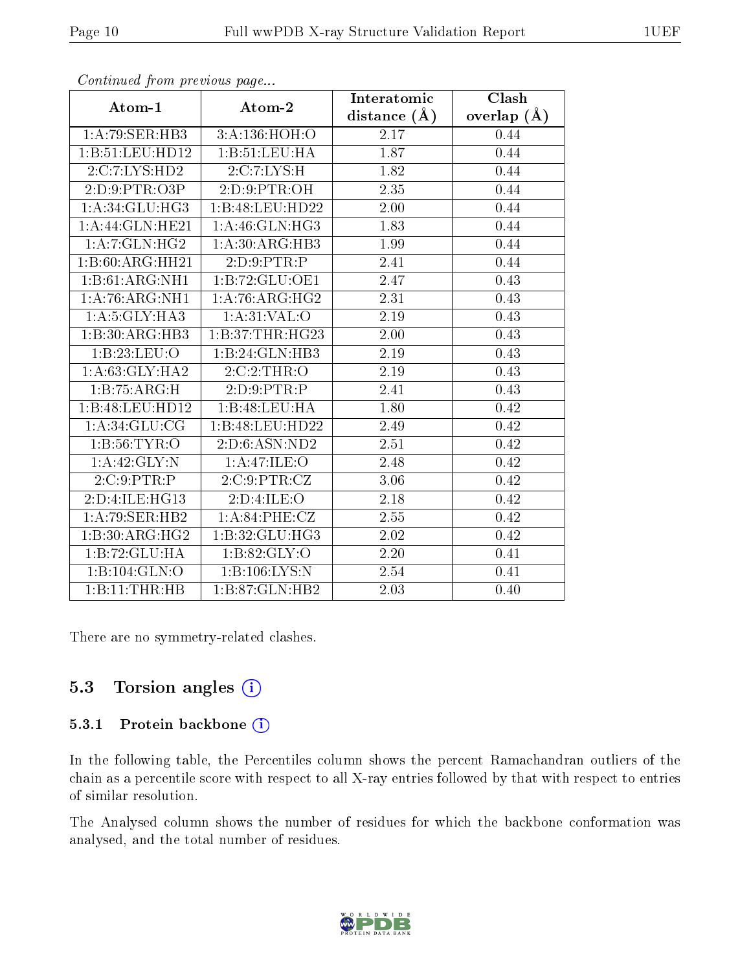|                   |                   | Interatomic       | Clash           |
|-------------------|-------------------|-------------------|-----------------|
| Atom-1            | Atom-2            | distance $(\AA)$  | overlap $(\AA)$ |
| 1:A:79:SER:HB3    | 3:A:136:HOH:O     | 2.17              | 0.44            |
| 1:B:51:LEU:HD12   | 1:B:51:LEU:HA     | 1.87              | 0.44            |
| 2:C:7:LYS:HD2     | 2:C:7:LYS:H       | 1.82              | 0.44            |
| 2:D:9:PTR:O3P     | 2: D: 9: PTR: OH  | 2.35              | 0.44            |
| 1: A:34: GLU:HG3  | 1:B:48:LEU:HD22   | $\overline{2}.00$ | 0.44            |
| 1: A:44: GLN:HE21 | 1: A:46: GLN: HG3 | 1.83              | 0.44            |
| 1: A: 7: GLN: HG2 | 1: A:30: ARG:HB3  | 1.99              | 0.44            |
| 1:B:60:ARG:HH21   | 2:D:9:PTR:P       | 2.41              | 0.44            |
| 1:B:61:ARG:NH1    | 1:B:72:GLU:OE1    | 2.47              | 0.43            |
| 1:A:76:ARG:NH1    | 1:A:76:ARG:HG2    | 2.31              | 0.43            |
| 1: A:5: GLY: HA3  | 1: A:31: VAL:O    | 2.19              | 0.43            |
| 1:B:30:ARG:HB3    | 1:B:37:THR:HG23   | $2.00\,$          | 0.43            |
| 1:B:23:LEU:O      | 1:B:24:GLN:HB3    | 2.19              | 0.43            |
| 1: A:63: GLY:HA2  | 2:C:2:THR:O       | 2.19              | 0.43            |
| 1:B:75:ARG:H      | 2:D:9:PTR:P       | 2.41              | 0.43            |
| 1:B:48:LEU:HD12   | 1:B:48:LEU:HA     | 1.80              | 0.42            |
| 1: A:34: GLU:CG   | 1:B:48:LEU:HD22   | 2.49              | 0.42            |
| 1: B:56: TYR:O    | 2:D:6:ASN:ND2     | 2.51              | 0.42            |
| 1:A:42:GLY:N      | 1:A:47:ILE:O      | 2.48              | 0.42            |
| 2:C:9:PTR:P       | 2:C:9:PTR:CZ      | 3.06              | 0.42            |
| 2:D:4:ILE:HG13    | 2:D:4:ILE:O       | 2.18              | 0.42            |
| 1: A:79: SER: HB2 | 1: A:84:PHE:CZ    | 2.55              | 0.42            |
| 1:B:30:ARG:HG2    | 1:B:32:GLU:HG3    | 2.02              | 0.42            |
| 1:B:72:GLU:HA     | 1:B:82:GLY:O      | 2.20              | 0.41            |
| 1:B:104:GLN:O     | 1:B:106:LYS:N     | 2.54              | 0.41            |
| 1:B:11:THR:HB     | 1:B:87:GLN:HB2    | 2.03              | 0.40            |

Continued from previous page...

There are no symmetry-related clashes.

### 5.3 Torsion angles (i)

#### 5.3.1 Protein backbone (i)

In the following table, the Percentiles column shows the percent Ramachandran outliers of the chain as a percentile score with respect to all X-ray entries followed by that with respect to entries of similar resolution.

The Analysed column shows the number of residues for which the backbone conformation was analysed, and the total number of residues.

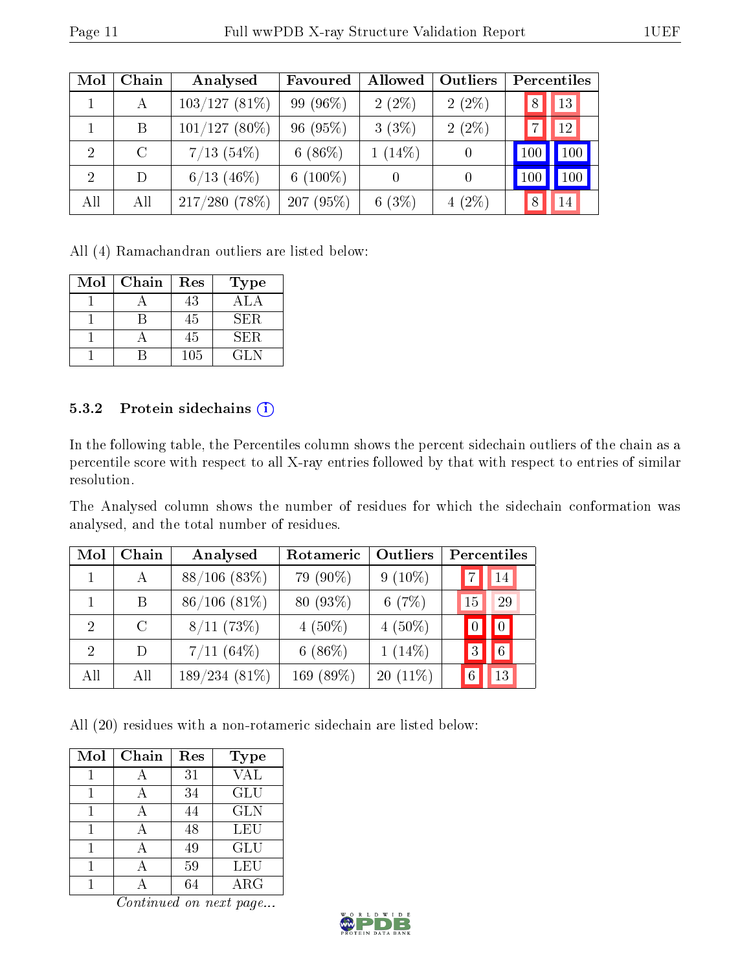| Mol | Chain   | Analysed        | Favoured    | Allowed   | Outliers | Percentiles |
|-----|---------|-----------------|-------------|-----------|----------|-------------|
|     | А       | $103/127(81\%)$ | 99 (96%)    | $2(2\%)$  | $2(2\%)$ | 13<br>8     |
|     | B       | $101/127(80\%)$ | 96(95%)     | 3(3%)     | $2(2\%)$ | 12          |
| 2   | $\rm C$ | $7/13$ (54\%)   | 6 $(86%)$   | $1(14\%)$ |          | 100         |
| 2   | D       | $6/13$ (46\%)   | 6 $(100\%)$ |           | $\theta$ | 100         |
| All | All     | 217/280(78%)    | 207(95%)    | 6(3%)     | $4(2\%)$ | 14          |

All (4) Ramachandran outliers are listed below:

| $\operatorname{Mol}$ | Chain | Res | Type |
|----------------------|-------|-----|------|
|                      |       | 43  | ΔI   |
|                      |       | 45  | SER. |
|                      |       | 45  | SER. |
|                      |       | 105 | GL N |

#### 5.3.2 Protein sidechains (i)

In the following table, the Percentiles column shows the percent sidechain outliers of the chain as a percentile score with respect to all X-ray entries followed by that with respect to entries of similar resolution.

The Analysed column shows the number of residues for which the sidechain conformation was analysed, and the total number of residues.

| Mol                         | Chain   | Analysed          | Rotameric | Outliers   |    | Percentiles    |
|-----------------------------|---------|-------------------|-----------|------------|----|----------------|
|                             | A       | $88/106$ $(83\%)$ | 79 (90%)  | $9(10\%)$  |    | 14             |
|                             | B       | $86/106$ $(81\%)$ | 80 (93%)  | 6(7%)      | 15 | 29             |
| $\mathcal{D}_{\mathcal{L}}$ | $\rm C$ | 8/11(73%)         | $4(50\%)$ | $4(50\%)$  |    | $\boxed{0}$    |
| $\mathcal{D}$               | $\Box$  | $7/11~(64\%)$     | 6(86%)    | $1(14\%)$  |    | $\overline{6}$ |
| All                         | All     | $189/234(81\%)$   | 169 (89%) | $20(11\%)$ |    | 13             |

All (20) residues with a non-rotameric sidechain are listed below:

| Mol | Chain | Res | <b>Type</b> |
|-----|-------|-----|-------------|
|     |       | 31  | <b>VAL</b>  |
|     |       | 34  | GLU         |
|     |       | 44  | <b>GLN</b>  |
|     |       | 48  | LEU         |
|     |       | 49  | GLU         |
|     |       | 59  | LEU         |
|     |       |     | ${\rm ARG}$ |

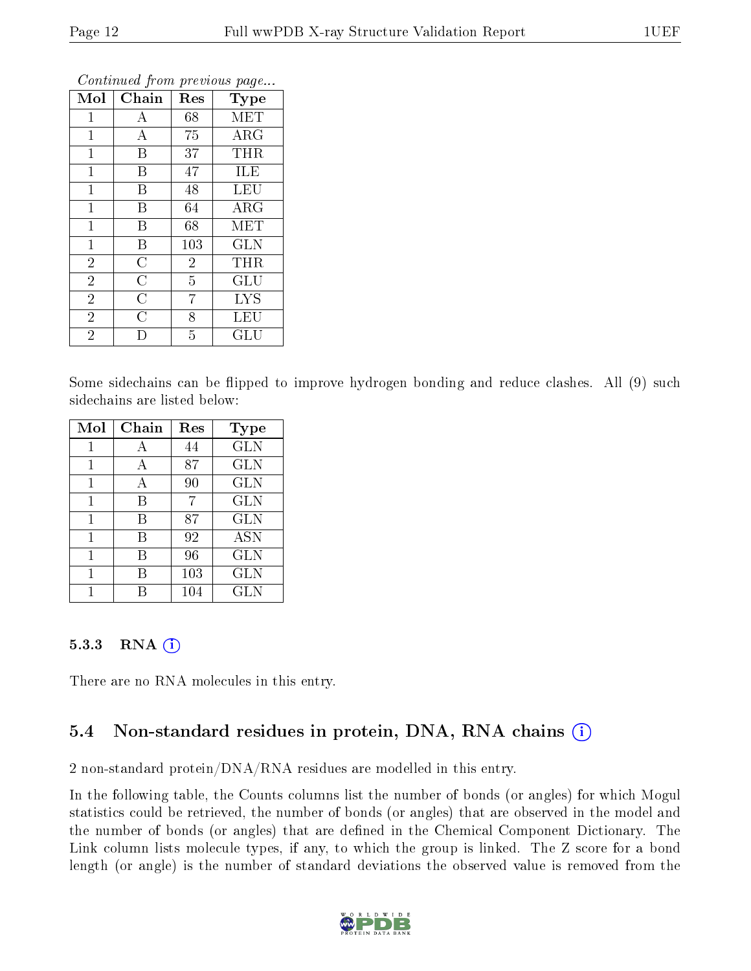|                |                    | ı              | ×.<br>ັ              |
|----------------|--------------------|----------------|----------------------|
| Mol            | Chain              | Res            | Type                 |
| 1              | А                  | 68             | MET                  |
| $\mathbf 1$    | A                  | 75             | ARG                  |
| $\mathbf 1$    | B                  | 37             | THR                  |
| 1              | B                  | 47             | ILE                  |
| $\mathbf 1$    | Β                  | 48             | <b>LEU</b>           |
| $\mathbf{1}$   | B                  | 64             | $\rm{ARG}$           |
| $\mathbf 1$    | Β                  | 68             | MET                  |
| $\mathbf 1$    | B                  | 103            | <b>GLN</b>           |
| $\overline{2}$ | $\overline{C}$     | $\overline{2}$ | THR                  |
| $\overline{2}$ | $\overline{\rm C}$ | $\overline{5}$ | GLU                  |
| $\overline{2}$ | $\overline{C}$     | 7              | <b>LYS</b>           |
| $\overline{2}$ | $\overline{C}$     | 8              | LEU                  |
| $\overline{2}$ | IJ                 | 5              | $\operatorname{GLU}$ |

Continued from previous page...

Some sidechains can be flipped to improve hydrogen bonding and reduce clashes. All (9) such sidechains are listed below:

| Mol | Chain | Res     | <b>Type</b>  |
|-----|-------|---------|--------------|
| 1   | А     | 44      | <b>GLN</b>   |
| 1   | А     | 87      | <b>GLN</b>   |
| 1   | А     | 90      | <b>GLN</b>   |
| 1   | B     | 7       | GLN          |
| 1   | В     | 87      | GLN          |
| 1   | B     | 92      | <b>ASN</b>   |
| 1   | В     | 96      | <b>GLN</b>   |
|     | R     | 103     | $_{\rm GLN}$ |
|     |       | $104\,$ | $_{\rm GLN}$ |

#### 5.3.3 RNA (1)

There are no RNA molecules in this entry.

### 5.4 Non-standard residues in protein, DNA, RNA chains (i)

2 non-standard protein/DNA/RNA residues are modelled in this entry.

In the following table, the Counts columns list the number of bonds (or angles) for which Mogul statistics could be retrieved, the number of bonds (or angles) that are observed in the model and the number of bonds (or angles) that are defined in the Chemical Component Dictionary. The Link column lists molecule types, if any, to which the group is linked. The Z score for a bond length (or angle) is the number of standard deviations the observed value is removed from the

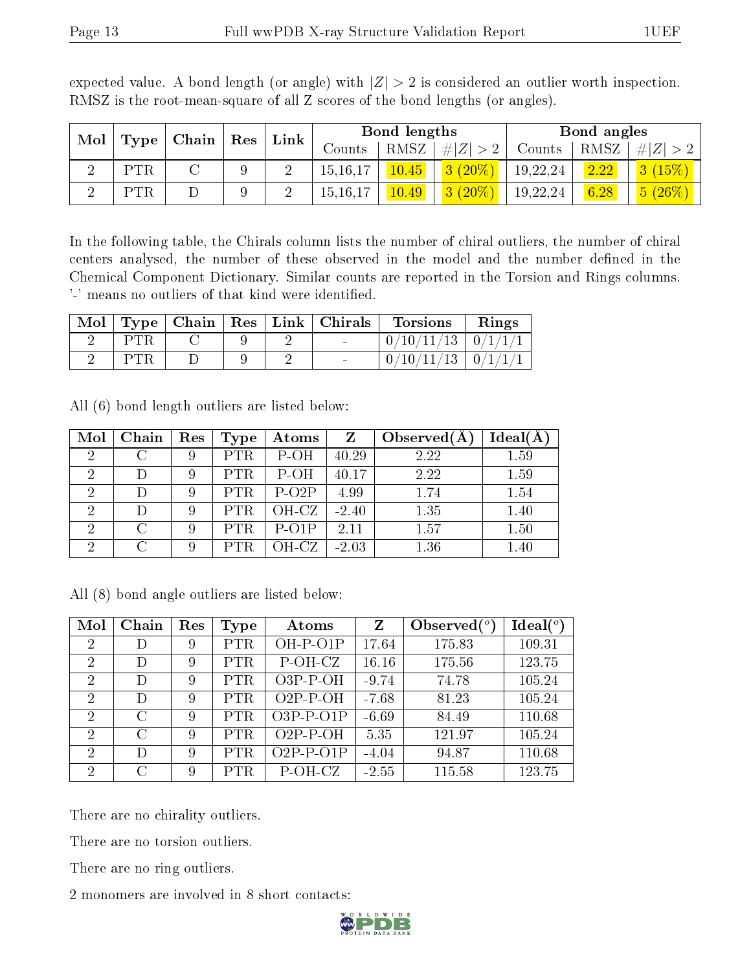| Mol<br>Type |            |  |  |            |      |             |          |      |                                     |  |  | Chain   Res |  |  |  | Link |  | Bond lengths |  |  | Bond angles |  |
|-------------|------------|--|--|------------|------|-------------|----------|------|-------------------------------------|--|--|-------------|--|--|--|------|--|--------------|--|--|-------------|--|
|             |            |  |  | Counts     | RMSZ | # $ Z  > 2$ | Counts   | RMSZ | Z <br>$#^+$                         |  |  |             |  |  |  |      |  |              |  |  |             |  |
|             | <b>PTR</b> |  |  | 15, 16, 17 | 45   | $3(20\%)$   | 19,22,24 | 2.22 | 3(15%)                              |  |  |             |  |  |  |      |  |              |  |  |             |  |
|             | PTR        |  |  | 15,16,17   | 0.49 | $(20\%)$    | 19,22,24 | 6.28 | $\left  \frac{5 (26 \%)}{} \right $ |  |  |             |  |  |  |      |  |              |  |  |             |  |

expected value. A bond length (or angle) with  $|Z| > 2$  is considered an outlier worth inspection. RMSZ is the root-mean-square of all Z scores of the bond lengths (or angles).

In the following table, the Chirals column lists the number of chiral outliers, the number of chiral centers analysed, the number of these observed in the model and the number defined in the Chemical Component Dictionary. Similar counts are reported in the Torsion and Rings columns. '-' means no outliers of that kind were identified.

| Mol | $\top$ Type   Chain |  | $\vert$ Res $\vert$ Link $\vert$ Chirals | <b>Torsions</b>                  | Rings                   |
|-----|---------------------|--|------------------------------------------|----------------------------------|-------------------------|
|     |                     |  |                                          | $0/10/11/13$   $0/1/1/1$         |                         |
|     |                     |  |                                          | $^\prime 10$ / $11$ / $13$<br>0/ | $^{\mathrm{+}}$ 0/1/1/1 |

All (6) bond length outliers are listed below:

| Mol            | Chain  | Res | Type       | $\boldsymbol{\mathrm{Atoms}}$ | $\mathbf{Z}$ | Observed $(A$ | $Ideal(\AA)$ |
|----------------|--------|-----|------------|-------------------------------|--------------|---------------|--------------|
| $\mathcal{D}$  |        |     | <b>PTR</b> | $P-OH$                        | 40.29        | 2.22          | 1.59         |
| $\mathcal{D}$  |        |     | <b>PTR</b> | $P-OH$                        | 40.17        | 2.22          | 1.59         |
| 2              |        | Q   | <b>PTR</b> | $P-O2P$                       | 4.99         | 1.74          | 1.54         |
| $\overline{2}$ |        |     | <b>PTR</b> | OH-CZ                         | $-2.40$      | 1.35          | 1.40         |
| $\mathcal{D}$  | $\cap$ |     | PTR.       | $P-O1P$                       | 2.11         | 1.57          | 1.50         |
|                |        |     |            | OH-CZ                         | $-2.03$      | 1.36          | 1.40         |

All (8) bond angle outliers are listed below:

| Mol            | Chain   | Res | <b>Type</b> | Atoms       | $\mathbf{Z}$ | Observed $\binom{o}{c}$ | $Ideal(^o)$ |
|----------------|---------|-----|-------------|-------------|--------------|-------------------------|-------------|
| $\overline{2}$ | D)      | 9   | <b>PTR</b>  | OH-P-O1P    | 17.64        | 175.83                  | 109.31      |
| $\overline{2}$ | D       | 9   | <b>PTR</b>  | P-OH-CZ     | 16.16        | 175.56                  | 123.75      |
| $\overline{2}$ | D       | 9   | <b>PTR</b>  | $O3P-P-OH$  | $-9.74$      | 74.78                   | 105.24      |
| $\overline{2}$ | D       | 9   | <b>PTR</b>  | $O2P-P-OH$  | $-7.68$      | 81.23                   | 105.24      |
| $\overline{2}$ | $\rm C$ | 9   | <b>PTR</b>  | $O3P-P-O1P$ | $-6.69$      | 84.49                   | 110.68      |
| $\overline{2}$ | $\rm C$ | 9   | <b>PTR</b>  | $O2P-P-OH$  | 5.35         | 121.97                  | 105.24      |
| $\mathcal{D}$  | Ð       | 9   | <b>PTR</b>  | $O2P-P-O1P$ | $-4.04$      | 94.87                   | 110.68      |
| 2              | C       | 9   | $\rm{PTR}$  | P-OH-CZ     | $-2.55$      | 115.58                  | 123.75      |

There are no chirality outliers.

There are no torsion outliers.

There are no ring outliers.

2 monomers are involved in 8 short contacts:

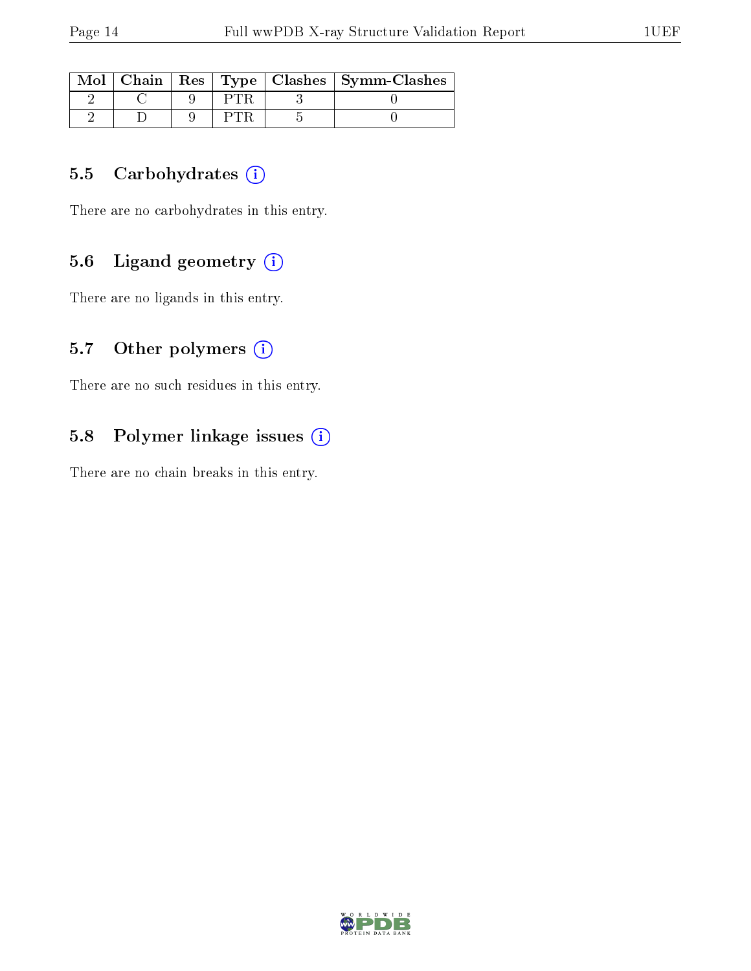| Mol |  |  | Chain   Res   Type   Clashes   Symm-Clashes |
|-----|--|--|---------------------------------------------|
|     |  |  |                                             |
|     |  |  |                                             |

### 5.5 Carbohydrates  $(i)$

There are no carbohydrates in this entry.

### 5.6 Ligand geometry  $(i)$

There are no ligands in this entry.

### 5.7 [O](https://www.wwpdb.org/validation/2017/XrayValidationReportHelp#nonstandard_residues_and_ligands)ther polymers  $(i)$

There are no such residues in this entry.

# 5.8 Polymer linkage issues (i)

There are no chain breaks in this entry.

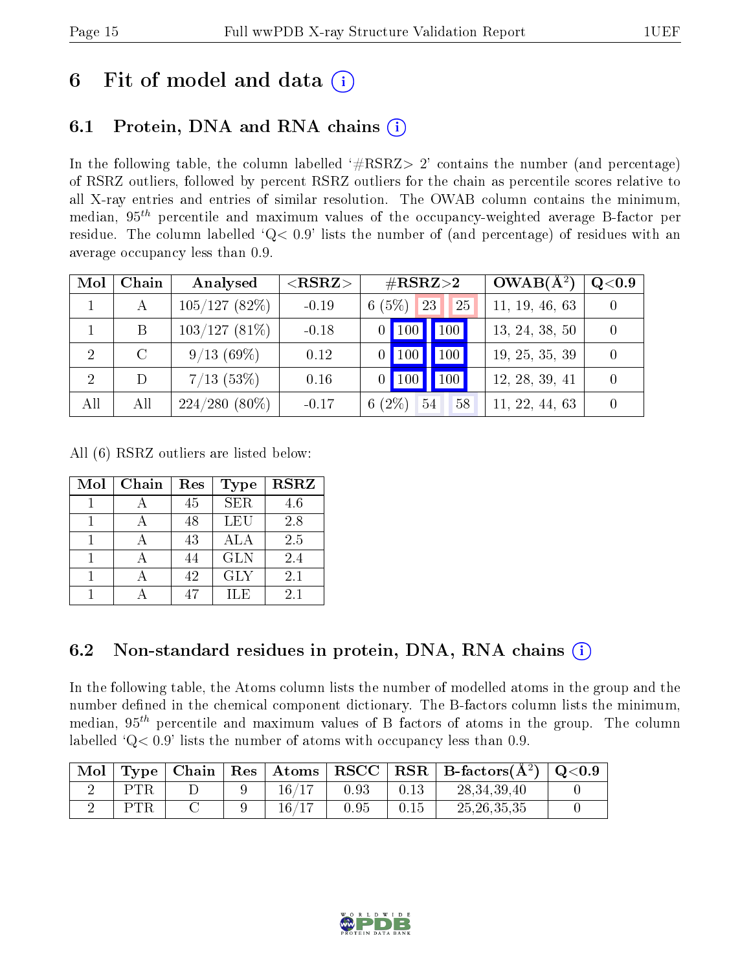# 6 Fit of model and data  $(i)$

# 6.1 Protein, DNA and RNA chains (i)

In the following table, the column labelled  $#RSRZ>2'$  contains the number (and percentage) of RSRZ outliers, followed by percent RSRZ outliers for the chain as percentile scores relative to all X-ray entries and entries of similar resolution. The OWAB column contains the minimum, median,  $95<sup>th</sup>$  percentile and maximum values of the occupancy-weighted average B-factor per residue. The column labelled ' $Q< 0.9$ ' lists the number of (and percentage) of residues with an average occupancy less than 0.9.

| Mol | Chain         | Analysed        | ${ <\hspace{-1.5pt}{\mathrm{RSRZ}} \hspace{-1.5pt}>}$ | $\#\text{RSRZ}{>}2$      | $OWAB(A^2)$    | Q <sub>0.9</sub> |
|-----|---------------|-----------------|-------------------------------------------------------|--------------------------|----------------|------------------|
|     | А             | 105/127(82%)    | $-0.19$                                               | (5%)<br>23<br>25<br>6    | 11, 19, 46, 63 |                  |
|     | B             | $103/127(81\%)$ | $-0.18$                                               | 100<br>100               | 13, 24, 38, 50 |                  |
| 2   | $\mathcal{C}$ | 9/13(69%)       | 0.12                                                  | 100<br>$0$   100         | 19, 25, 35, 39 |                  |
| 2   | D             | $7/13$ (53%)    | 0.16                                                  | 100<br>$\mid$ 100        | 12, 28, 39, 41 |                  |
| All | All           | $224/280(80\%)$ | $-0.17$                                               | $(2\%)$<br>54<br>58<br>6 | 11, 22, 44, 63 |                  |

All (6) RSRZ outliers are listed below:

| Mol | Chain | Res | <b>Type</b> | <b>RSRZ</b> |
|-----|-------|-----|-------------|-------------|
|     |       | 45  | SER.        | 4.6         |
|     |       | 48  | LEU         | 2.8         |
|     |       | 43  | ALA         | 2.5         |
|     |       | 44  | <b>GLN</b>  | 2.4         |
|     |       | 42  | <b>GLY</b>  | 2.1         |
|     |       |     | ILE         | 2.1         |

### 6.2 Non-standard residues in protein, DNA, RNA chains (i)

In the following table, the Atoms column lists the number of modelled atoms in the group and the number defined in the chemical component dictionary. The B-factors column lists the minimum, median,  $95<sup>th</sup>$  percentile and maximum values of B factors of atoms in the group. The column labelled  $Q< 0.9$ ' lists the number of atoms with occupancy less than 0.9.

| ` Mol |     | Type   Chain |             |      |      | $\mid$ Res $\mid$ Atoms $\mid$ RSCC $\mid$ RSR $\mid$ B-factors(A <sup>2</sup> ) $\mid$ | $\mid$ Q<0.9 |
|-------|-----|--------------|-------------|------|------|-----------------------------------------------------------------------------------------|--------------|
|       | PTR |              | $16\,/\,$   | 0.93 | 0.13 | 28, 34, 39, 40                                                                          |              |
|       | PTR |              | $16\, / 17$ | 0.95 | 0.15 | 25.26.35.35                                                                             |              |